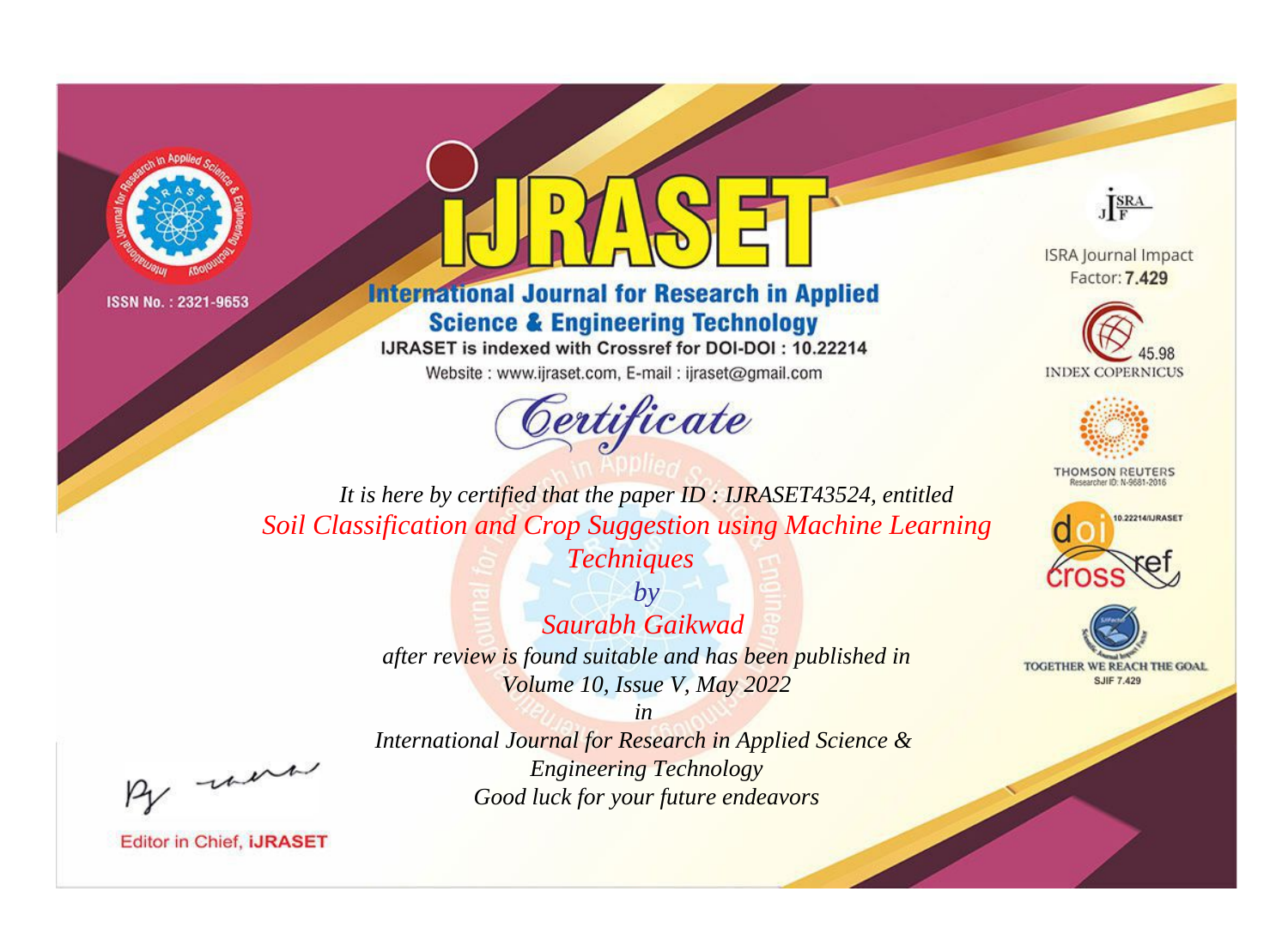



**International Journal for Research in Applied Science & Engineering Technology** 

IJRASET is indexed with Crossref for DOI-DOI: 10.22214

Website: www.ijraset.com, E-mail: ijraset@gmail.com



JERA

**ISRA Journal Impact** Factor: 7.429





**THOMSON REUTERS** 



TOGETHER WE REACH THE GOAL **SJIF 7.429** 

It is here by certified that the paper ID: IJRASET43524, entitled Soil Classification and Crop Suggestion using Machine Learning **Techniques** 

> $b\nu$ Saurabh Gaikwad after review is found suitable and has been published in Volume 10, Issue V, May 2022

were

International Journal for Research in Applied Science & **Engineering Technology** Good luck for your future endeavors

 $in$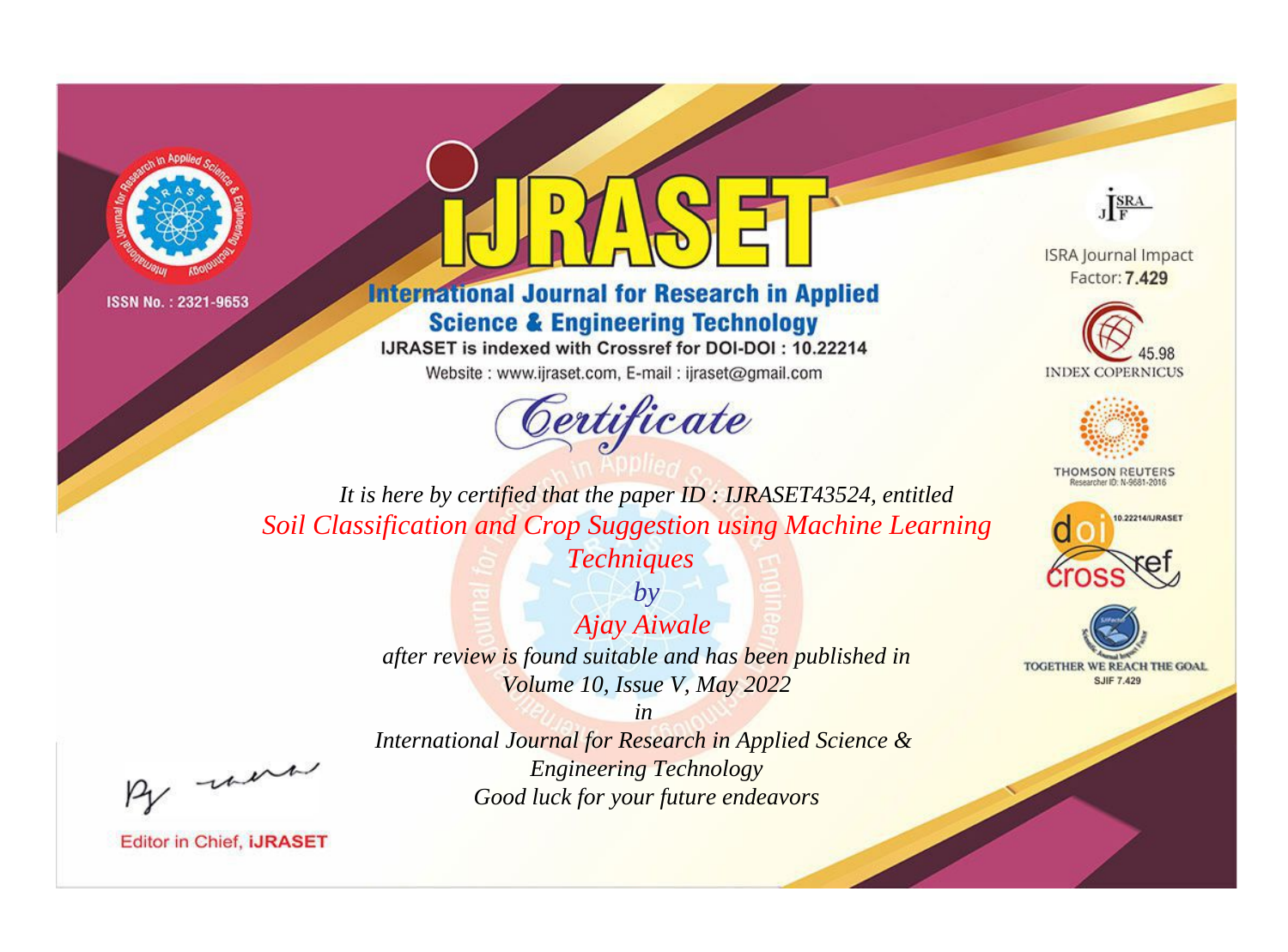



**International Journal for Research in Applied Science & Engineering Technology** 

IJRASET is indexed with Crossref for DOI-DOI : 10.22214

Website: www.ijraset.com, E-mail: ijraset@gmail.com



JERA

**ISRA Journal Impact** Factor: 7.429





**THOMSON REUTERS** 



TOGETHER WE REACH THE GOAL **SJIF 7.429** 

It is here by certified that the paper ID: IJRASET43524, entitled Soil Classification and Crop Suggestion using Machine Learning **Techniques** 

> $by$ Ajay Aiwale after review is found suitable and has been published in Volume 10, Issue V, May 2022

> > $in$

were

International Journal for Research in Applied Science & **Engineering Technology** Good luck for your future endeavors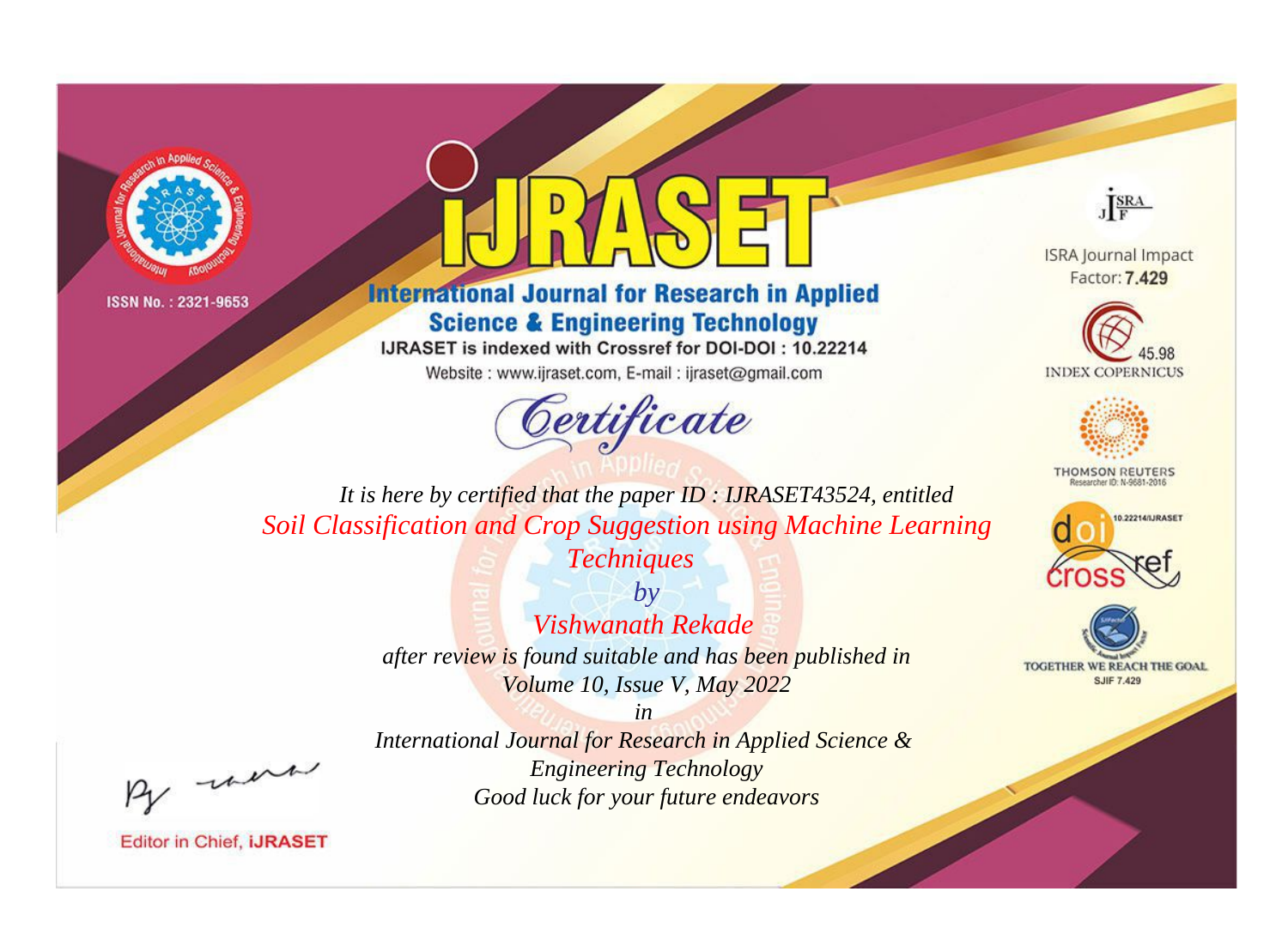



**International Journal for Research in Applied Science & Engineering Technology** 

IJRASET is indexed with Crossref for DOI-DOI: 10.22214

Website: www.ijraset.com, E-mail: ijraset@gmail.com





**ISRA Journal Impact** Factor: 7.429





**THOMSON REUTERS** 



TOGETHER WE REACH THE GOAL **SJIF 7.429** 

*It is here by certified that the paper ID : IJRASET43524, entitled Soil Classification and Crop Suggestion using Machine Learning Techniques*

> *by Vishwanath Rekade after review is found suitable and has been published in Volume 10, Issue V, May 2022*

, un

*International Journal for Research in Applied Science & Engineering Technology Good luck for your future endeavors*

*in*